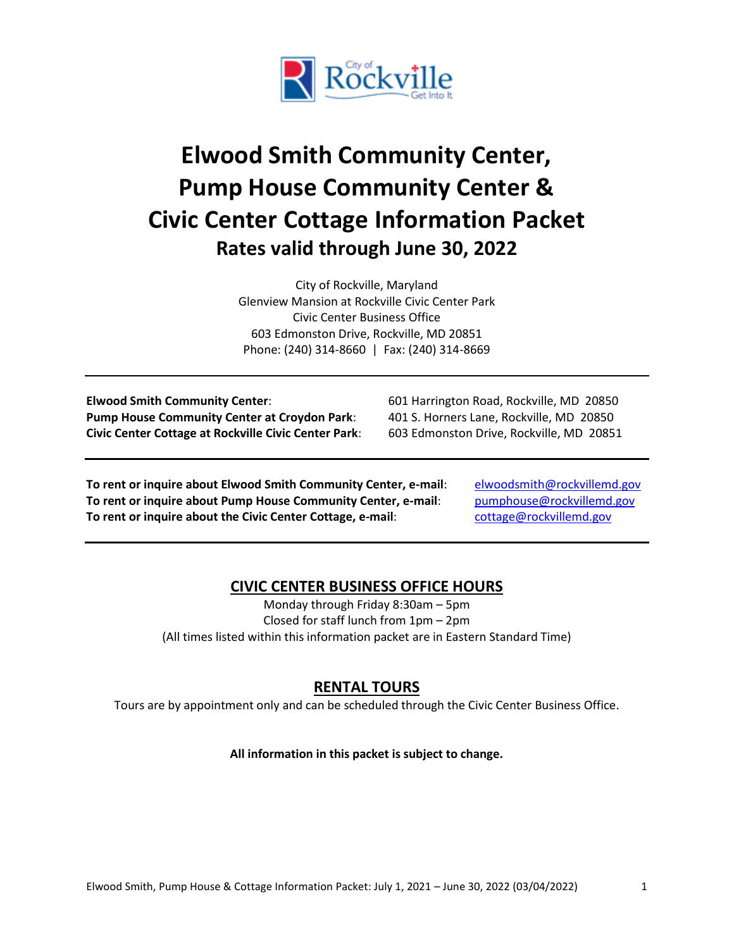

# **Elwood Smith Community Center, Pump House Community Center & Civic Center Cottage Information Packet Rates valid through June 30, 2022**

City of Rockville, Maryland Glenview Mansion at Rockville Civic Center Park Civic Center Business Office 603 Edmonston Drive, Rockville, MD 20851 Phone: (240) 314-8660 | Fax: (240) 314-8669

**Elwood Smith Community Center**: 601 Harrington Road, Rockville, MD 20850 **Pump House Community Center at Croydon Park**: 401 S. Horners Lane, Rockville, MD 20850 **Civic Center Cottage at Rockville Civic Center Park**: 603 Edmonston Drive, Rockville, MD 20851

**To rent or inquire about Elwood Smith Community Center, e-mail**: [elwoodsmith@rockvillemd.gov](mailto:elwoodsmith@rockvillemd.gov) **To rent or inquire about Pump House Community Center, e-mail:** [pumphouse@rockvillemd.gov](mailto:pumphouse@rockvillemd.gov) **To rent or inquire about the Civic Center Cottage, e-mail:** [cottage@rockvillemd.gov](mailto:cottage@rockvillemd.gov)

# **CIVIC CENTER BUSINESS OFFICE HOURS**

Monday through Friday 8:30am – 5pm Closed for staff lunch from 1pm – 2pm (All times listed within this information packet are in Eastern Standard Time)

# **RENTAL TOURS**

Tours are by appointment only and can be scheduled through the Civic Center Business Office.

**All information in this packet is subject to change.**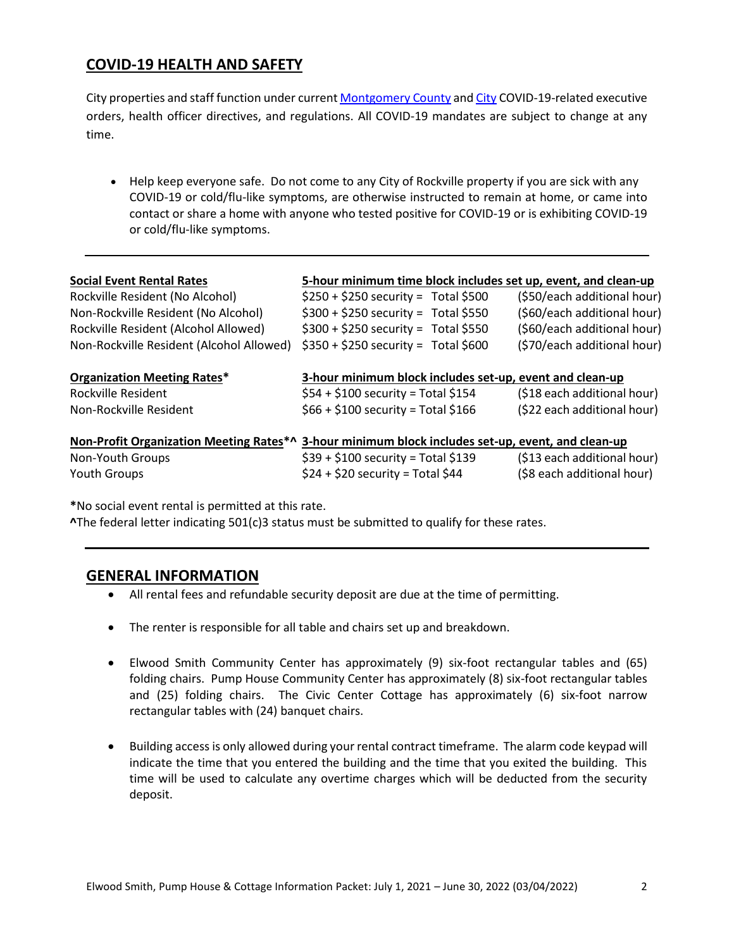# **COVID-19 HEALTH AND SAFETY**

City properties and staff function under curren[t Montgomery County](https://www.montgomerycountymd.gov/covid19/index.html) and [City](https://www.rockvillemd.gov/2315/COVID-19-Closures-and-Cancellations) COVID-19-related executive orders, health officer directives, and regulations. All COVID-19 mandates are subject to change at any time.

• Help keep everyone safe. Do not come to any City of Rockville property if you are sick with any COVID-19 or cold/flu-like symptoms, are otherwise instructed to remain at home, or came into contact or share a home with anyone who tested positive for COVID-19 or is exhibiting COVID-19 or cold/flu-like symptoms.

| <b>Social Event Rental Rates</b>                                                                  | 5-hour minimum time block includes set up, event, and clean-up |                             |
|---------------------------------------------------------------------------------------------------|----------------------------------------------------------------|-----------------------------|
| Rockville Resident (No Alcohol)                                                                   | $$250 + $250$ security = Total \$500                           | (\$50/each additional hour) |
| Non-Rockville Resident (No Alcohol)                                                               | $$300 + $250$ security = Total \$550                           | (\$60/each additional hour) |
| Rockville Resident (Alcohol Allowed)                                                              | $$300 + $250$ security = Total \$550                           | (\$60/each additional hour) |
| Non-Rockville Resident (Alcohol Allowed)                                                          | $$350 + $250$ security = Total \$600                           | (\$70/each additional hour) |
| <b>Organization Meeting Rates*</b>                                                                | 3-hour minimum block includes set-up, event and clean-up       |                             |
| Rockville Resident                                                                                | $$54 + $100$ security = Total \$154                            | (\$18 each additional hour) |
| Non-Rockville Resident                                                                            | $$66 + $100$ security = Total \$166                            | (\$22 each additional hour) |
| Non-Profit Organization Meeting Rates*^ 3-hour minimum block includes set-up, event, and clean-up |                                                                |                             |
| Non-Youth Groups                                                                                  | $$39 + $100$ security = Total \$139                            | (\$13 each additional hour) |
| Youth Groups                                                                                      | $$24 + $20$ security = Total \$44                              | (\$8 each additional hour)  |

**\***No social event rental is permitted at this rate.

**^**The federal letter indicating 501(c)3 status must be submitted to qualify for these rates.

# **GENERAL INFORMATION**

- All rental fees and refundable security deposit are due at the time of permitting.
- The renter is responsible for all table and chairs set up and breakdown.
- Elwood Smith Community Center has approximately (9) six-foot rectangular tables and (65) folding chairs. Pump House Community Center has approximately (8) six-foot rectangular tables and (25) folding chairs. The Civic Center Cottage has approximately (6) six-foot narrow rectangular tables with (24) banquet chairs.
- Building access is only allowed during your rental contract timeframe. The alarm code keypad will indicate the time that you entered the building and the time that you exited the building. This time will be used to calculate any overtime charges which will be deducted from the security deposit.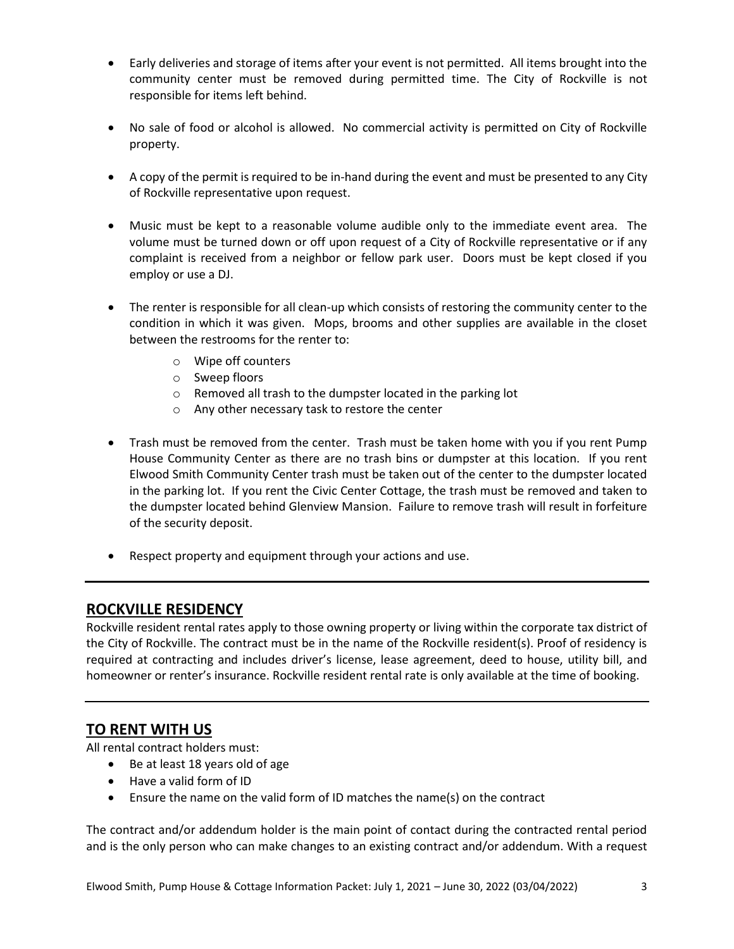- Early deliveries and storage of items after your event is not permitted. All items brought into the community center must be removed during permitted time. The City of Rockville is not responsible for items left behind.
- No sale of food or alcohol is allowed. No commercial activity is permitted on City of Rockville property.
- A copy of the permit is required to be in-hand during the event and must be presented to any City of Rockville representative upon request.
- Music must be kept to a reasonable volume audible only to the immediate event area. The volume must be turned down or off upon request of a City of Rockville representative or if any complaint is received from a neighbor or fellow park user. Doors must be kept closed if you employ or use a DJ.
- The renter is responsible for all clean-up which consists of restoring the community center to the condition in which it was given. Mops, brooms and other supplies are available in the closet between the restrooms for the renter to:
	- o Wipe off counters
	- o Sweep floors
	- o Removed all trash to the dumpster located in the parking lot
	- o Any other necessary task to restore the center
- Trash must be removed from the center. Trash must be taken home with you if you rent Pump House Community Center as there are no trash bins or dumpster at this location. If you rent Elwood Smith Community Center trash must be taken out of the center to the dumpster located in the parking lot. If you rent the Civic Center Cottage, the trash must be removed and taken to the dumpster located behind Glenview Mansion. Failure to remove trash will result in forfeiture of the security deposit.
- Respect property and equipment through your actions and use.

# **ROCKVILLE RESIDENCY**

Rockville resident rental rates apply to those owning property or living within the corporate tax district of the City of Rockville. The contract must be in the name of the Rockville resident(s). Proof of residency is required at contracting and includes driver's license, lease agreement, deed to house, utility bill, and homeowner or renter's insurance. Rockville resident rental rate is only available at the time of booking.

# **TO RENT WITH US**

All rental contract holders must:

- Be at least 18 years old of age
- Have a valid form of ID
- Ensure the name on the valid form of ID matches the name(s) on the contract

The contract and/or addendum holder is the main point of contact during the contracted rental period and is the only person who can make changes to an existing contract and/or addendum. With a request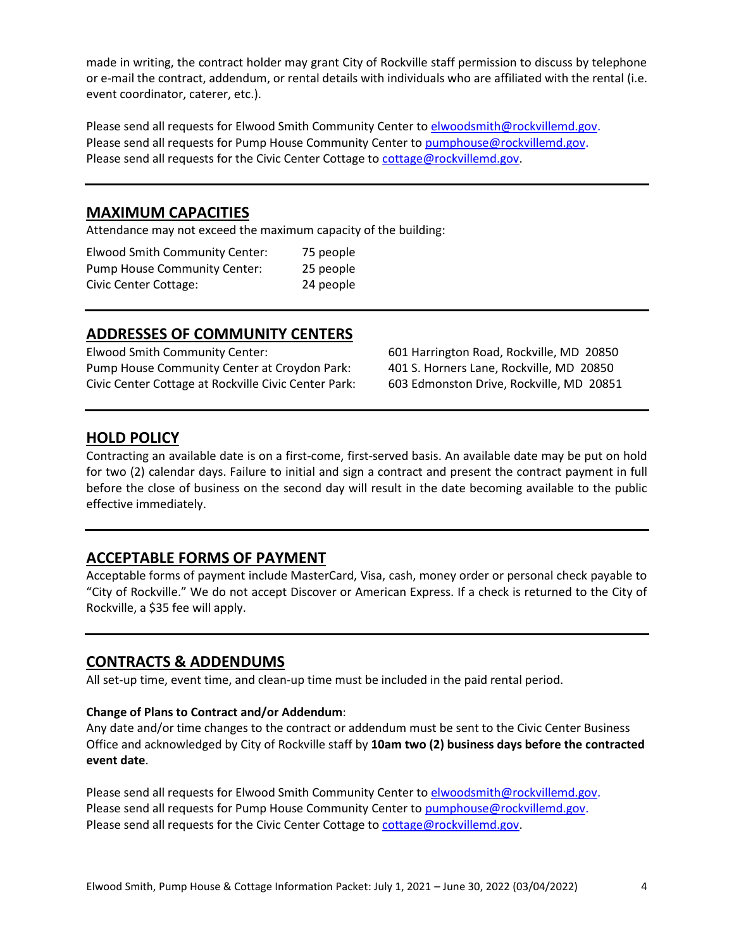made in writing, the contract holder may grant City of Rockville staff permission to discuss by telephone or e-mail the contract, addendum, or rental details with individuals who are affiliated with the rental (i.e. event coordinator, caterer, etc.).

Please send all requests for Elwood Smith Community Center to [elwoodsmith@rockvillemd.gov.](mailto:elwoodsmith@rockvillemd.gov) Please send all requests for Pump House Community Center t[o pumphouse@rockvillemd.gov.](mailto:pumphouse@rockvillemd.gov) Please send all requests for the Civic Center Cottage to [cottage@rockvillemd.gov.](mailto:cottage@rockvillemd.gov)

## **MAXIMUM CAPACITIES**

Attendance may not exceed the maximum capacity of the building:

| <b>Elwood Smith Community Center:</b> | 75 people |
|---------------------------------------|-----------|
| <b>Pump House Community Center:</b>   | 25 people |
| Civic Center Cottage:                 | 24 people |

## **ADDRESSES OF COMMUNITY CENTERS**

Elwood Smith Community Center: 601 Harrington Road, Rockville, MD 20850 Pump House Community Center at Croydon Park: 401 S. Horners Lane, Rockville, MD 20850 Civic Center Cottage at Rockville Civic Center Park: 603 Edmonston Drive, Rockville, MD 20851

## **HOLD POLICY**

Contracting an available date is on a first-come, first-served basis. An available date may be put on hold for two (2) calendar days. Failure to initial and sign a contract and present the contract payment in full before the close of business on the second day will result in the date becoming available to the public effective immediately.

# **ACCEPTABLE FORMS OF PAYMENT**

Acceptable forms of payment include MasterCard, Visa, cash, money order or personal check payable to "City of Rockville." We do not accept Discover or American Express. If a check is returned to the City of Rockville, a \$35 fee will apply.

## **CONTRACTS & ADDENDUMS**

All set-up time, event time, and clean-up time must be included in the paid rental period.

### **Change of Plans to Contract and/or Addendum**:

Any date and/or time changes to the contract or addendum must be sent to the Civic Center Business Office and acknowledged by City of Rockville staff by **10am two (2) business days before the contracted event date**.

Please send all requests for Elwood Smith Community Center t[o elwoodsmith@rockvillemd.gov.](mailto:elwoodsmith@rockvillemd.gov) Please send all requests for Pump House Community Center t[o pumphouse@rockvillemd.gov.](mailto:pumphouse@rockvillemd.gov) Please send all requests for the Civic Center Cottage to [cottage@rockvillemd.gov.](mailto:cottage@rockvillemd.gov)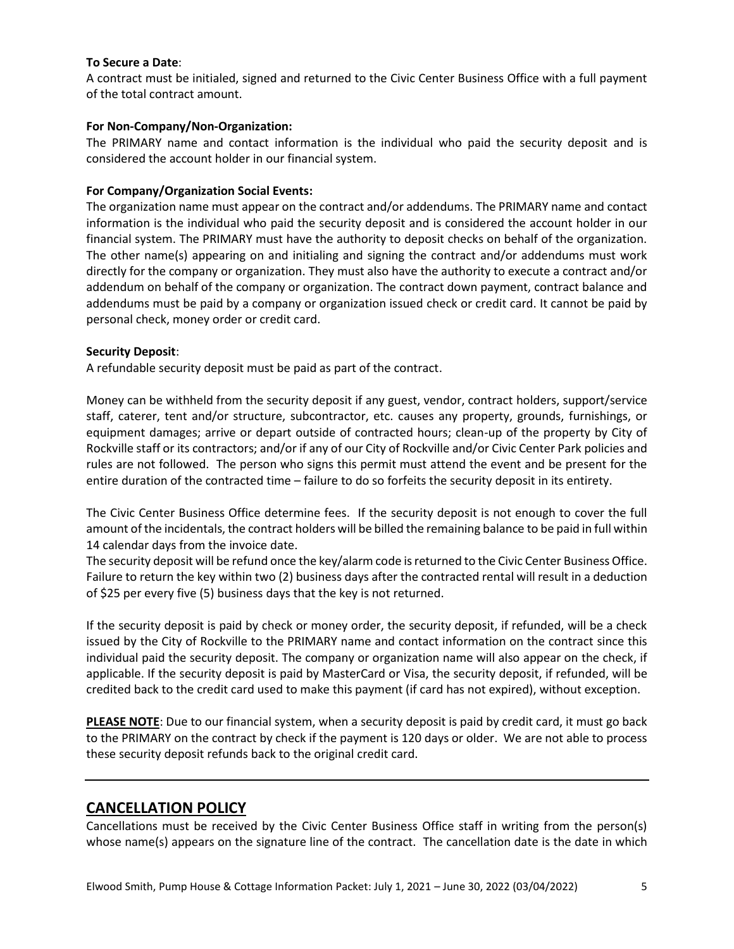### **To Secure a Date**:

A contract must be initialed, signed and returned to the Civic Center Business Office with a full payment of the total contract amount.

### **For Non-Company/Non-Organization:**

The PRIMARY name and contact information is the individual who paid the security deposit and is considered the account holder in our financial system.

### **For Company/Organization Social Events:**

The organization name must appear on the contract and/or addendums. The PRIMARY name and contact information is the individual who paid the security deposit and is considered the account holder in our financial system. The PRIMARY must have the authority to deposit checks on behalf of the organization. The other name(s) appearing on and initialing and signing the contract and/or addendums must work directly for the company or organization. They must also have the authority to execute a contract and/or addendum on behalf of the company or organization. The contract down payment, contract balance and addendums must be paid by a company or organization issued check or credit card. It cannot be paid by personal check, money order or credit card.

#### **Security Deposit**:

A refundable security deposit must be paid as part of the contract.

Money can be withheld from the security deposit if any guest, vendor, contract holders, support/service staff, caterer, tent and/or structure, subcontractor, etc. causes any property, grounds, furnishings, or equipment damages; arrive or depart outside of contracted hours; clean-up of the property by City of Rockville staff or its contractors; and/or if any of our City of Rockville and/or Civic Center Park policies and rules are not followed. The person who signs this permit must attend the event and be present for the entire duration of the contracted time – failure to do so forfeits the security deposit in its entirety.

The Civic Center Business Office determine fees. If the security deposit is not enough to cover the full amount of the incidentals, the contract holders will be billed the remaining balance to be paid in full within 14 calendar days from the invoice date.

The security deposit will be refund once the key/alarm code is returned to the Civic Center Business Office. Failure to return the key within two (2) business days after the contracted rental will result in a deduction of \$25 per every five (5) business days that the key is not returned.

If the security deposit is paid by check or money order, the security deposit, if refunded, will be a check issued by the City of Rockville to the PRIMARY name and contact information on the contract since this individual paid the security deposit. The company or organization name will also appear on the check, if applicable. If the security deposit is paid by MasterCard or Visa, the security deposit, if refunded, will be credited back to the credit card used to make this payment (if card has not expired), without exception.

**PLEASE NOTE**: Due to our financial system, when a security deposit is paid by credit card, it must go back to the PRIMARY on the contract by check if the payment is 120 days or older. We are not able to process these security deposit refunds back to the original credit card.

# **CANCELLATION POLICY**

Cancellations must be received by the Civic Center Business Office staff in writing from the person(s) whose name(s) appears on the signature line of the contract. The cancellation date is the date in which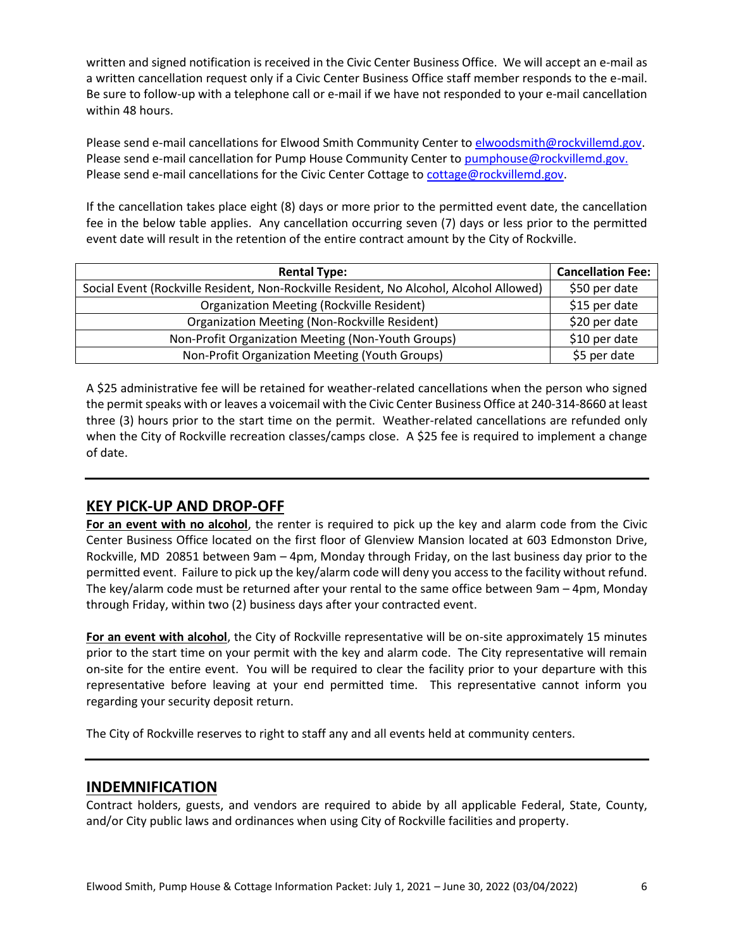written and signed notification is received in the Civic Center Business Office. We will accept an e-mail as a written cancellation request only if a Civic Center Business Office staff member responds to the e-mail. Be sure to follow-up with a telephone call or e-mail if we have not responded to your e-mail cancellation within 48 hours.

Please send e-mail cancellations for Elwood Smith Community Center t[o elwoodsmith@rockvillemd.gov.](mailto:elwoodsmith@rockvillemd.gov) Please send e-mail cancellation for Pump House Community Center t[o pumphouse@rockvillemd.gov.](mailto:pumphouse@rockvillemd.gov) Please send e-mail cancellations for the Civic Center Cottage to [cottage@rockvillemd.gov.](mailto:cottage@rockvillemd.gov)

If the cancellation takes place eight (8) days or more prior to the permitted event date, the cancellation fee in the below table applies. Any cancellation occurring seven (7) days or less prior to the permitted event date will result in the retention of the entire contract amount by the City of Rockville.

| <b>Rental Type:</b>                                                                    | <b>Cancellation Fee:</b> |
|----------------------------------------------------------------------------------------|--------------------------|
| Social Event (Rockville Resident, Non-Rockville Resident, No Alcohol, Alcohol Allowed) | \$50 per date            |
| <b>Organization Meeting (Rockville Resident)</b>                                       | \$15 per date            |
| Organization Meeting (Non-Rockville Resident)                                          | \$20 per date            |
| Non-Profit Organization Meeting (Non-Youth Groups)                                     | \$10 per date            |
| Non-Profit Organization Meeting (Youth Groups)                                         | \$5 per date             |

A \$25 administrative fee will be retained for weather-related cancellations when the person who signed the permit speaks with or leaves a voicemail with the Civic Center Business Office at 240-314-8660 at least three (3) hours prior to the start time on the permit. Weather-related cancellations are refunded only when the City of Rockville recreation classes/camps close. A \$25 fee is required to implement a change of date.

# **KEY PICK-UP AND DROP-OFF**

**For an event with no alcohol**, the renter is required to pick up the key and alarm code from the Civic Center Business Office located on the first floor of Glenview Mansion located at 603 Edmonston Drive, Rockville, MD 20851 between 9am – 4pm, Monday through Friday, on the last business day prior to the permitted event. Failure to pick up the key/alarm code will deny you access to the facility without refund. The key/alarm code must be returned after your rental to the same office between 9am – 4pm, Monday through Friday, within two (2) business days after your contracted event.

**For an event with alcohol**, the City of Rockville representative will be on-site approximately 15 minutes prior to the start time on your permit with the key and alarm code. The City representative will remain on-site for the entire event. You will be required to clear the facility prior to your departure with this representative before leaving at your end permitted time. This representative cannot inform you regarding your security deposit return.

The City of Rockville reserves to right to staff any and all events held at community centers.

## **INDEMNIFICATION**

Contract holders, guests, and vendors are required to abide by all applicable Federal, State, County, and/or City public laws and ordinances when using City of Rockville facilities and property.